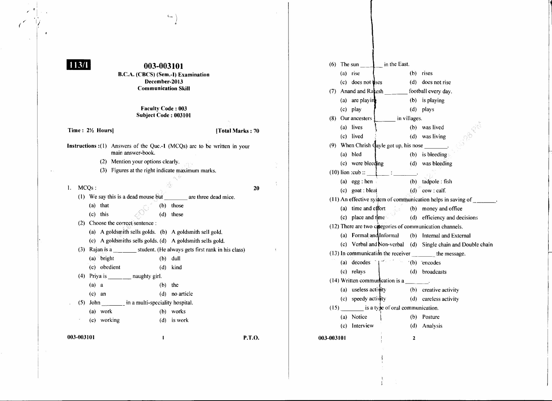## $113/1$

*r:* (

## **003-003101**

 $\mathsf{C}_{\mathsf{m}}$ 

B.C.A. (CBCS) (Sem.-I) Examination December-2013 Communication Skill

## Faculty Code: 003 Subject Code: 003101

Time: 2<sup>1</sup>/<sub>2</sub> Hours] **The COVID-10** 1 Total Marks: 70

- Instructions :(1) Answers of the Que.-1 (MCQs) are to be written in your main answer-book.
	- (2) Mention your options clearly.

(a) that  $(b)$  those

(1) We say this is a dead mouse  $\overline{but}$ 

- $(3)$  Figures at the right indicate maximum marks.
- 

I. MCQs: 20 are three dead mice.

## (c) this  $\bigcirc$  (d) these (2) Choose the correct sentence : (a) A goldsmith sells golds. (b) A goldsmith sell gold. (e) A goldsmiths sells golds. (d) A goldsmith sells gold. (3) Rajan is a student. (He always gets first rank in his class) (a) bright (b) dull (e) obedient (d) kind (4) Priya is  $\frac{1}{\sqrt{2}}$  naughty girl.  $(a)$  a  $(b)$  the (c) an (d) no article (5) John in a multi-speciality hospital.

(a) work (b) works (c) working (d) is work

003-003101 P.T.O.

 $\mathcal{X}$ 

|            | $(a)$ rise                                                    |                                                   |              | $(b)$ rises                                                           |  |  |  |  |
|------------|---------------------------------------------------------------|---------------------------------------------------|--------------|-----------------------------------------------------------------------|--|--|--|--|
|            | (c) does not uses                                             |                                                   |              | (d) does not rise                                                     |  |  |  |  |
|            |                                                               | (7) Anand and Ratesh ________ football every day. |              |                                                                       |  |  |  |  |
|            | (a) are playing                                               |                                                   |              | (b) is playing                                                        |  |  |  |  |
|            | $(c)$ play                                                    |                                                   |              | (d) plays                                                             |  |  |  |  |
|            | (8) Our ancesters 1 in villages.                              |                                                   |              |                                                                       |  |  |  |  |
|            | (a) lives                                                     |                                                   |              | (b) was lived                                                         |  |  |  |  |
|            | (c) lived                                                     | 表示                                                |              | (d) was living                                                        |  |  |  |  |
|            | (9) When Chrish $\frac{1}{2}$ ayle got up, his nose ________. |                                                   |              |                                                                       |  |  |  |  |
|            | (a) bled                                                      |                                                   |              | (b) is bleeding                                                       |  |  |  |  |
|            |                                                               | (c) were bleeding (d) was bleeding                |              |                                                                       |  |  |  |  |
|            |                                                               | (10) lion :cub :: $\qquad \qquad$ :               |              |                                                                       |  |  |  |  |
|            | $(a)$ egg : hen                                               |                                                   |              | (b) tadpole : fish                                                    |  |  |  |  |
|            |                                                               | (c) goat : bleat $(d)$ cow : calf.                |              |                                                                       |  |  |  |  |
|            |                                                               |                                                   |              | (11) An effective system of communication helps in saving of _______. |  |  |  |  |
|            |                                                               |                                                   |              | (a) time and effort (b) money and office                              |  |  |  |  |
|            |                                                               |                                                   |              | (c) place and time (d) efficiency and decisions                       |  |  |  |  |
|            |                                                               |                                                   |              | (12) There are two categories of communication channels.              |  |  |  |  |
|            |                                                               |                                                   |              | (a) Formal and Informal (b) Internal and External                     |  |  |  |  |
|            |                                                               |                                                   |              | (c) Verbal and Non-verbal (d) Single chain and Double chain           |  |  |  |  |
|            | (13) In communication the receiver ________ the message.      |                                                   |              |                                                                       |  |  |  |  |
|            |                                                               | (a) decodes $ $ (b) encodes                       |              |                                                                       |  |  |  |  |
|            | (c) relays                                                    |                                                   |              | (d) broadcasts                                                        |  |  |  |  |
|            |                                                               | (14) Written communication is a _______.          |              |                                                                       |  |  |  |  |
|            |                                                               |                                                   |              | (a) useless activity (b) creative activity                            |  |  |  |  |
|            |                                                               |                                                   |              | (c) speedy activity (d) careless activity                             |  |  |  |  |
|            | $(15)$ is a type of oral communication.                       |                                                   |              |                                                                       |  |  |  |  |
|            | (a) Notice                                                    | $\mathcal{L}$                                     |              | (b) Posture                                                           |  |  |  |  |
|            | $(c)$ Interview                                               |                                                   |              | (d) Analysis                                                          |  |  |  |  |
| 003-003101 |                                                               | $\mathbf{I}$                                      | $\mathbf{2}$ |                                                                       |  |  |  |  |
|            |                                                               |                                                   |              |                                                                       |  |  |  |  |